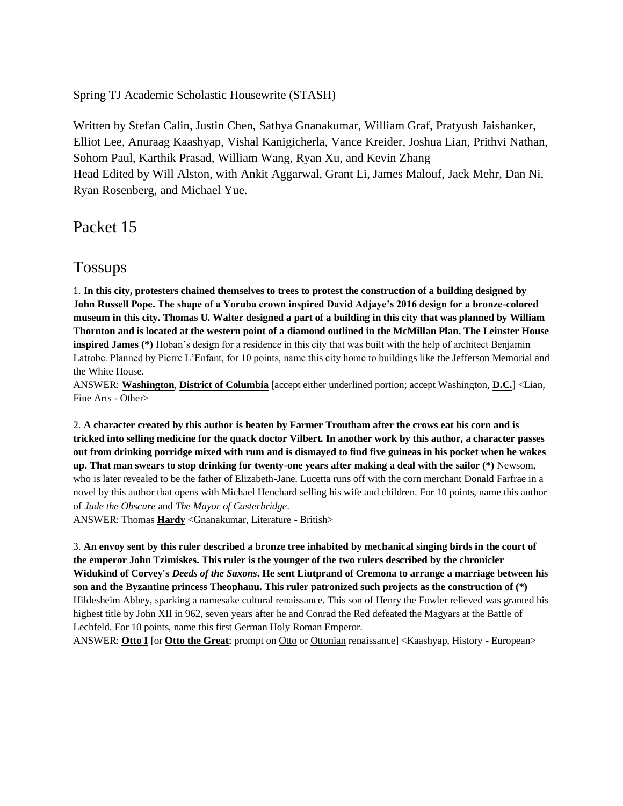Spring TJ Academic Scholastic Housewrite (STASH)

Written by Stefan Calin, Justin Chen, Sathya Gnanakumar, William Graf, Pratyush Jaishanker, Elliot Lee, Anuraag Kaashyap, Vishal Kanigicherla, Vance Kreider, Joshua Lian, Prithvi Nathan, Sohom Paul, Karthik Prasad, William Wang, Ryan Xu, and Kevin Zhang Head Edited by Will Alston, with Ankit Aggarwal, Grant Li, James Malouf, Jack Mehr, Dan Ni, Ryan Rosenberg, and Michael Yue.

Packet 15

# Tossups

1. **In this city, protesters chained themselves to trees to protest the construction of a building designed by John Russell Pope. The shape of a Yoruba crown inspired David Adjaye's 2016 design for a bronze-colored museum in this city. Thomas U. Walter designed a part of a building in this city that was planned by William Thornton and is located at the western point of a diamond outlined in the McMillan Plan. The Leinster House inspired James (\*)** Hoban's design for a residence in this city that was built with the help of architect Benjamin Latrobe. Planned by Pierre L'Enfant, for 10 points, name this city home to buildings like the Jefferson Memorial and the White House.

ANSWER: **Washington**, **District of Columbia** [accept either underlined portion; accept Washington, **D.C.**] <Lian, Fine Arts - Other>

2. **A character created by this author is beaten by Farmer Troutham after the crows eat his corn and is tricked into selling medicine for the quack doctor Vilbert. In another work by this author, a character passes out from drinking porridge mixed with rum and is dismayed to find five guineas in his pocket when he wakes up. That man swears to stop drinking for twenty-one years after making a deal with the sailor (\*)** Newsom, who is later revealed to be the father of Elizabeth-Jane. Lucetta runs off with the corn merchant Donald Farfrae in a novel by this author that opens with Michael Henchard selling his wife and children. For 10 points, name this author of *Jude the Obscure* and *The Mayor of Casterbridge*.

ANSWER: Thomas **Hardy** <Gnanakumar, Literature - British>

3. **An envoy sent by this ruler described a bronze tree inhabited by mechanical singing birds in the court of the emperor John Tzimiskes. This ruler is the younger of the two rulers described by the chronicler Widukind of Corvey's** *Deeds of the Saxons***. He sent Liutprand of Cremona to arrange a marriage between his son and the Byzantine princess Theophanu. This ruler patronized such projects as the construction of (\*)**  Hildesheim Abbey, sparking a namesake cultural renaissance. This son of Henry the Fowler relieved was granted his highest title by John XII in 962, seven years after he and Conrad the Red defeated the Magyars at the Battle of Lechfeld. For 10 points, name this first German Holy Roman Emperor.

ANSWER: **Otto I** [or **Otto the Great**; prompt on Otto or Ottonian renaissance] <Kaashyap, History - European>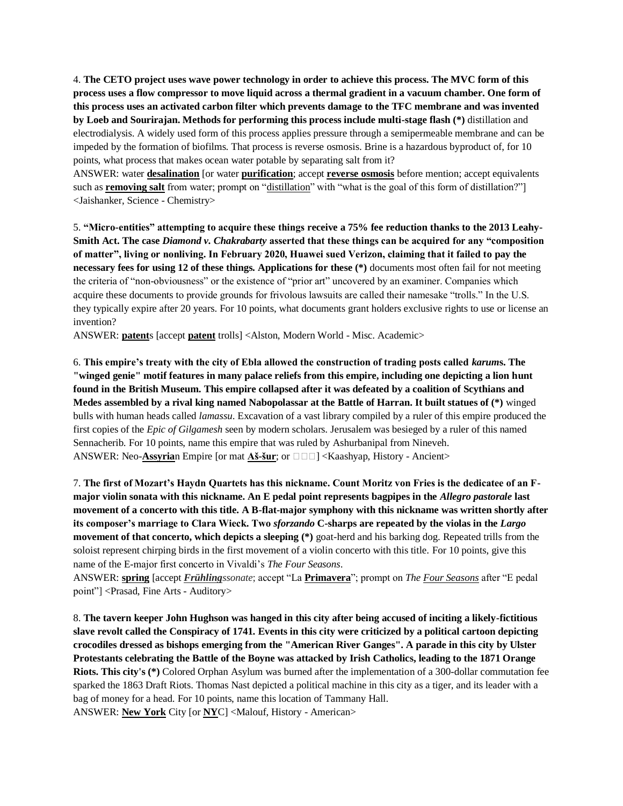4. **The CETO project uses wave power technology in order to achieve this process. The MVC form of this process uses a flow compressor to move liquid across a thermal gradient in a vacuum chamber. One form of this process uses an activated carbon filter which prevents damage to the TFC membrane and was invented by Loeb and Sourirajan. Methods for performing this process include multi-stage flash (\*)** distillation and electrodialysis. A widely used form of this process applies pressure through a semipermeable membrane and can be impeded by the formation of biofilms. That process is reverse osmosis. Brine is a hazardous byproduct of, for 10 points, what process that makes ocean water potable by separating salt from it?

ANSWER: water **desalination** [or water **purification**; accept **reverse osmosis** before mention; accept equivalents such as **removing salt** from water; prompt on "distillation" with "what is the goal of this form of distillation?"] <Jaishanker, Science - Chemistry>

5. **"Micro-entities" attempting to acquire these things receive a 75% fee reduction thanks to the 2013 Leahy-Smith Act. The case** *Diamond v. Chakrabarty* **asserted that these things can be acquired for any "composition of matter", living or nonliving. In February 2020, Huawei sued Verizon, claiming that it failed to pay the necessary fees for using 12 of these things. Applications for these (\*)** documents most often fail for not meeting the criteria of "non-obviousness" or the existence of "prior art" uncovered by an examiner. Companies which acquire these documents to provide grounds for frivolous lawsuits are called their namesake "trolls." In the U.S. they typically expire after 20 years. For 10 points, what documents grant holders exclusive rights to use or license an invention?

ANSWER: **patent**s [accept **patent** trolls] <Alston, Modern World - Misc. Academic>

6. **This empire's treaty with the city of Ebla allowed the construction of trading posts called** *karum***s. The "winged genie" motif features in many palace reliefs from this empire, including one depicting a lion hunt found in the British Museum. This empire collapsed after it was defeated by a coalition of Scythians and Medes assembled by a rival king named Nabopolassar at the Battle of Harran. It built statues of (\*)** winged bulls with human heads called *lamassu*. Excavation of a vast library compiled by a ruler of this empire produced the first copies of the *Epic of Gilgamesh* seen by modern scholars. Jerusalem was besieged by a ruler of this named Sennacherib. For 10 points, name this empire that was ruled by Ashurbanipal from Nineveh. ANSWER: Neo-**Assyria**n Empire [or mat **Aš-šur**; or  $\Box \Box \Box$ ] <Kaashyap, History - Ancient>

7. **The first of Mozart's Haydn Quartets has this nickname. Count Moritz von Fries is the dedicatee of an Fmajor violin sonata with this nickname. An E pedal point represents bagpipes in the** *Allegro pastorale* **last movement of a concerto with this title. A B-flat-major symphony with this nickname was written shortly after its composer's marriage to Clara Wieck. Two** *sforzando* **C-sharps are repeated by the violas in the** *Largo* **movement of that concerto, which depicts a sleeping (\*)** goat-herd and his barking dog. Repeated trills from the soloist represent chirping birds in the first movement of a violin concerto with this title. For 10 points, give this name of the E-major first concerto in Vivaldi's *The Four Seasons*.

ANSWER: **spring** [accept *Frühlingssonate*; accept "La **Primavera**"; prompt on *The Four Seasons* after "E pedal point"] <Prasad, Fine Arts - Auditory>

8. **The tavern keeper John Hughson was hanged in this city after being accused of inciting a likely-fictitious slave revolt called the Conspiracy of 1741. Events in this city were criticized by a political cartoon depicting crocodiles dressed as bishops emerging from the "American River Ganges". A parade in this city by Ulster Protestants celebrating the Battle of the Boyne was attacked by Irish Catholics, leading to the 1871 Orange Riots. This city's (\*)** Colored Orphan Asylum was burned after the implementation of a 300-dollar commutation fee sparked the 1863 Draft Riots. Thomas Nast depicted a political machine in this city as a tiger, and its leader with a bag of money for a head. For 10 points, name this location of Tammany Hall.

ANSWER: **New York** City [or **NY**C] <Malouf, History - American>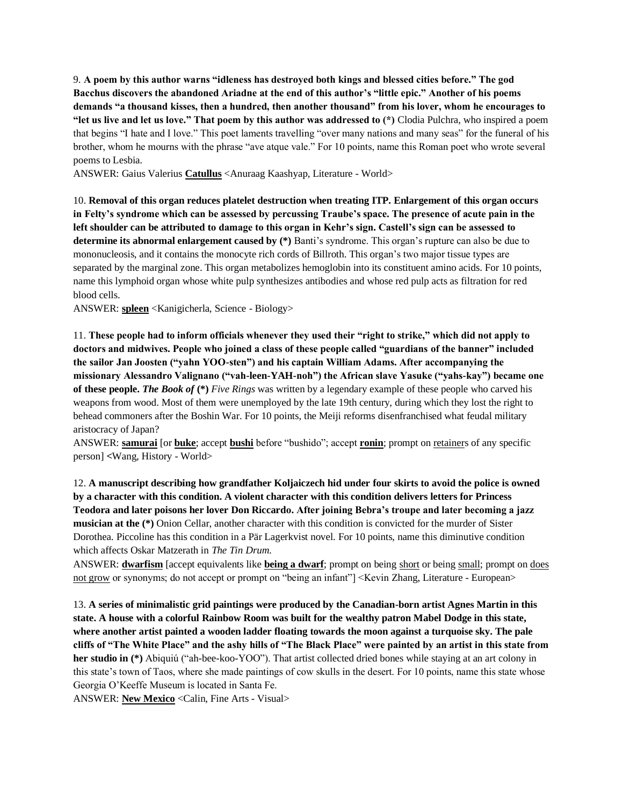9. **A poem by this author warns "idleness has destroyed both kings and blessed cities before." The god Bacchus discovers the abandoned Ariadne at the end of this author's "little epic." Another of his poems demands "a thousand kisses, then a hundred, then another thousand" from his lover, whom he encourages to "let us live and let us love." That poem by this author was addressed to (\*)** Clodia Pulchra, who inspired a poem that begins "I hate and I love." This poet laments travelling "over many nations and many seas" for the funeral of his brother, whom he mourns with the phrase "ave atque vale." For 10 points, name this Roman poet who wrote several poems to Lesbia.

ANSWER: Gaius Valerius **Catullus** <Anuraag Kaashyap, Literature - World>

10. **Removal of this organ reduces platelet destruction when treating ITP. Enlargement of this organ occurs in Felty's syndrome which can be assessed by percussing Traube's space. The presence of acute pain in the left shoulder can be attributed to damage to this organ in Kehr's sign. Castell's sign can be assessed to determine its abnormal enlargement caused by (\*)** Banti's syndrome. This organ's rupture can also be due to mononucleosis, and it contains the monocyte rich cords of Billroth. This organ's two major tissue types are separated by the marginal zone. This organ metabolizes hemoglobin into its constituent amino acids. For 10 points, name this lymphoid organ whose white pulp synthesizes antibodies and whose red pulp acts as filtration for red blood cells.

ANSWER: **spleen** <Kanigicherla, Science - Biology>

11. **These people had to inform officials whenever they used their "right to strike," which did not apply to doctors and midwives. People who joined a class of these people called "guardians of the banner" included the sailor Jan Joosten ("yahn YOO-sten") and his captain William Adams. After accompanying the missionary Alessandro Valignano ("vah-leen-YAH-noh") the African slave Yasuke ("yahs-kay") became one of these people.** *The Book of* **(\*)** *Five Rings* was written by a legendary example of these people who carved his weapons from wood. Most of them were unemployed by the late 19th century, during which they lost the right to behead commoners after the Boshin War. For 10 points, the Meiji reforms disenfranchised what feudal military aristocracy of Japan?

ANSWER: **samurai** [or **buke**; accept **bushi** before "bushido"; accept **ronin**; prompt on retainers of any specific person] **<**Wang, History - World>

12. **A manuscript describing how grandfather Koljaiczech hid under four skirts to avoid the police is owned by a character with this condition. A violent character with this condition delivers letters for Princess Teodora and later poisons her lover Don Riccardo. After joining Bebra's troupe and later becoming a jazz musician at the (\*)** Onion Cellar, another character with this condition is convicted for the murder of Sister Dorothea. Piccoline has this condition in a Pär Lagerkvist novel. For 10 points, name this diminutive condition which affects Oskar Matzerath in *The Tin Drum*.

ANSWER: **dwarfism** [accept equivalents like **being a dwarf**; prompt on being short or being small; prompt on does not grow or synonyms; do not accept or prompt on "being an infant"] <Kevin Zhang, Literature - European>

13. **A series of minimalistic grid paintings were produced by the Canadian-born artist Agnes Martin in this state. A house with a colorful Rainbow Room was built for the wealthy patron Mabel Dodge in this state, where another artist painted a wooden ladder floating towards the moon against a turquoise sky. The pale cliffs of "The White Place" and the ashy hills of "The Black Place" were painted by an artist in this state from her studio in (\*)** Abiquiú ("ah-bee-koo-YOO"). That artist collected dried bones while staying at an art colony in this state's town of Taos, where she made paintings of cow skulls in the desert. For 10 points, name this state whose Georgia O'Keeffe Museum is located in Santa Fe.

ANSWER: **New Mexico** <Calin, Fine Arts - Visual>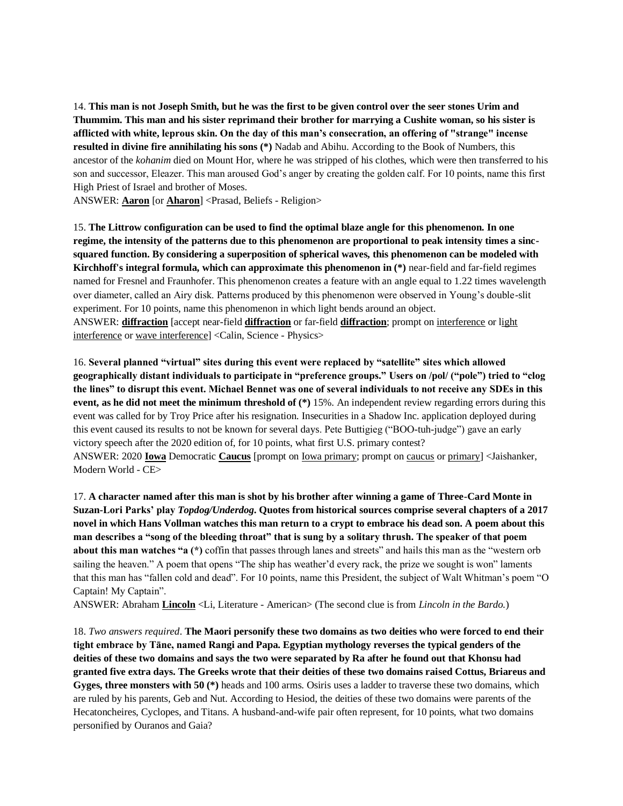14. **This man is not Joseph Smith, but he was the first to be given control over the seer stones Urim and Thummim. This man and his sister reprimand their brother for marrying a Cushite woman, so his sister is afflicted with white, leprous skin. On the day of this man's consecration, an offering of "strange" incense resulted in divine fire annihilating his sons (\*)** Nadab and Abihu. According to the Book of Numbers, this ancestor of the *kohanim* died on Mount Hor, where he was stripped of his clothes, which were then transferred to his son and successor, Eleazer. This man aroused God's anger by creating the golden calf. For 10 points, name this first High Priest of Israel and brother of Moses.

ANSWER: **Aaron** [or **Aharon**] <Prasad, Beliefs - Religion>

15. **The Littrow configuration can be used to find the optimal blaze angle for this phenomenon. In one regime, the intensity of the patterns due to this phenomenon are proportional to peak intensity times a sincsquared function. By considering a superposition of spherical waves, this phenomenon can be modeled with Kirchhoff's integral formula, which can approximate this phenomenon in (\*)** near-field and far-field regimes named for Fresnel and Fraunhofer. This phenomenon creates a feature with an angle equal to 1.22 times wavelength over diameter, called an Airy disk. Patterns produced by this phenomenon were observed in Young's double-slit experiment. For 10 points, name this phenomenon in which light bends around an object. ANSWER: **diffraction** [accept near-field **diffraction** or far-field **diffraction**; prompt on interference or light interference or wave interference] <Calin, Science - Physics>

16. **Several planned "virtual" sites during this event were replaced by "satellite" sites which allowed geographically distant individuals to participate in "preference groups." Users on /pol/ ("pole") tried to "clog the lines" to disrupt this event. Michael Bennet was one of several individuals to not receive any SDEs in this event, as he did not meet the minimum threshold of (\*)** 15%. An independent review regarding errors during this event was called for by Troy Price after his resignation. Insecurities in a Shadow Inc. application deployed during this event caused its results to not be known for several days. Pete Buttigieg ("BOO-tuh-judge") gave an early victory speech after the 2020 edition of, for 10 points, what first U.S. primary contest? ANSWER: 2020 **Iowa** Democratic **Caucus** [prompt on Iowa primary; prompt on caucus or primary] <Jaishanker, Modern World - CE>

17. **A character named after this man is shot by his brother after winning a game of Three-Card Monte in Suzan-Lori Parks' play** *Topdog/Underdog***. Quotes from historical sources comprise several chapters of a 2017 novel in which Hans Vollman watches this man return to a crypt to embrace his dead son. A poem about this man describes a "song of the bleeding throat" that is sung by a solitary thrush. The speaker of that poem about this man watches "a (\*)** coffin that passes through lanes and streets" and hails this man as the "western orb sailing the heaven." A poem that opens "The ship has weather'd every rack, the prize we sought is won" laments that this man has "fallen cold and dead". For 10 points, name this President, the subject of Walt Whitman's poem "O Captain! My Captain".

ANSWER: Abraham **Lincoln** <Li, Literature - American> (The second clue is from *Lincoln in the Bardo.*)

18. *Two answers required*. **The Maori personify these two domains as two deities who were forced to end their tight embrace by Tāne, named Rangi and Papa. Egyptian mythology reverses the typical genders of the deities of these two domains and says the two were separated by Ra after he found out that Khonsu had granted five extra days. The Greeks wrote that their deities of these two domains raised Cottus, Briareus and Gyges, three monsters with 50 (\*)** heads and 100 arms. Osiris uses a ladder to traverse these two domains, which are ruled by his parents, Geb and Nut. According to Hesiod, the deities of these two domains were parents of the Hecatoncheires, Cyclopes, and Titans. A husband-and-wife pair often represent, for 10 points, what two domains personified by Ouranos and Gaia?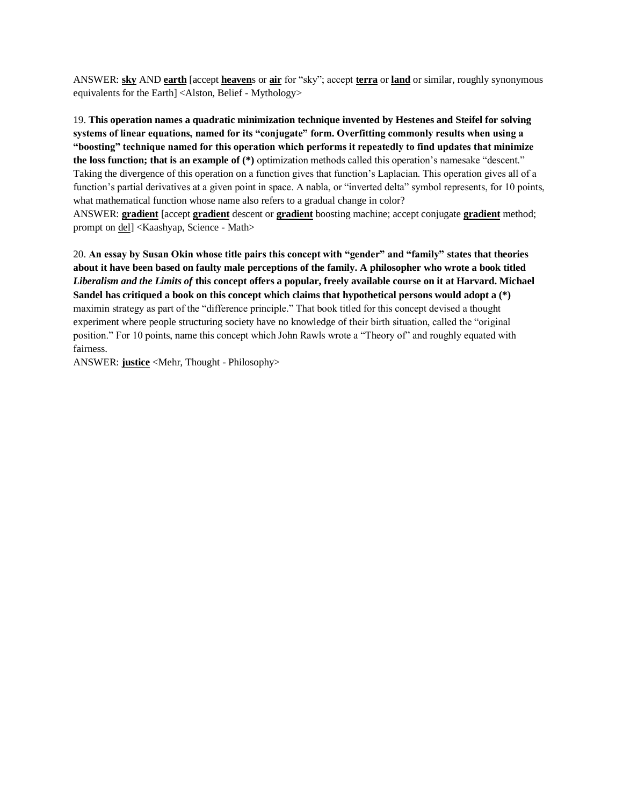ANSWER: **sky** AND **earth** [accept **heaven**s or **air** for "sky"; accept **terra** or **land** or similar, roughly synonymous equivalents for the Earth] <Alston, Belief - Mythology>

19. **This operation names a quadratic minimization technique invented by Hestenes and Steifel for solving systems of linear equations, named for its "conjugate" form. Overfitting commonly results when using a "boosting" technique named for this operation which performs it repeatedly to find updates that minimize the loss function; that is an example of (\*)** optimization methods called this operation's namesake "descent." Taking the divergence of this operation on a function gives that function's Laplacian. This operation gives all of a function's partial derivatives at a given point in space. A nabla, or "inverted delta" symbol represents, for 10 points, what mathematical function whose name also refers to a gradual change in color? ANSWER: **gradient** [accept **gradient** descent or **gradient** boosting machine; accept conjugate **gradient** method; prompt on del] <Kaashyap, Science - Math>

20. **An essay by Susan Okin whose title pairs this concept with "gender" and "family" states that theories about it have been based on faulty male perceptions of the family. A philosopher who wrote a book titled**  *Liberalism and the Limits of* **this concept offers a popular, freely available course on it at Harvard. Michael Sandel has critiqued a book on this concept which claims that hypothetical persons would adopt a (\*)** maximin strategy as part of the "difference principle." That book titled for this concept devised a thought experiment where people structuring society have no knowledge of their birth situation, called the "original position." For 10 points, name this concept which John Rawls wrote a "Theory of" and roughly equated with fairness.

ANSWER: **justice** <Mehr, Thought - Philosophy>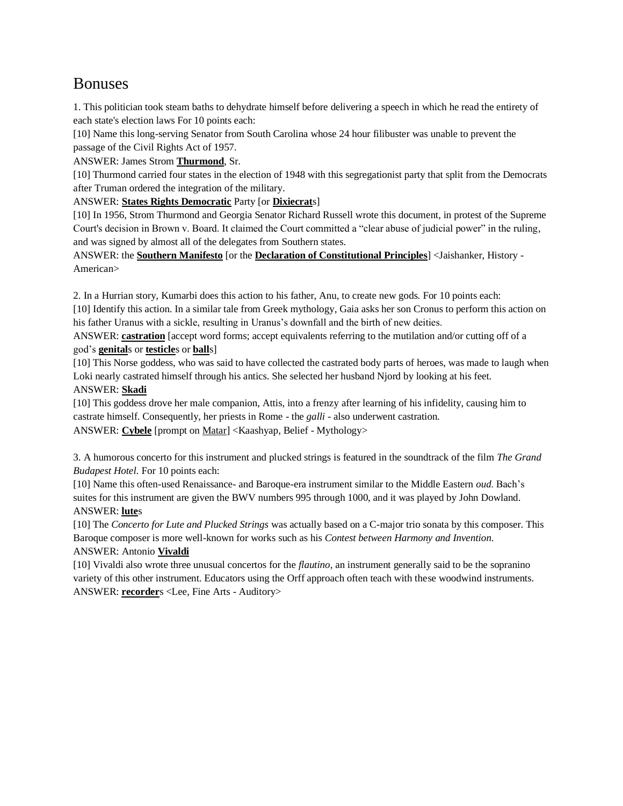# Bonuses

1. This politician took steam baths to dehydrate himself before delivering a speech in which he read the entirety of each state's election laws For 10 points each:

[10] Name this long-serving Senator from South Carolina whose 24 hour filibuster was unable to prevent the passage of the Civil Rights Act of 1957.

ANSWER: James Strom **Thurmond**, Sr.

[10] Thurmond carried four states in the election of 1948 with this segregationist party that split from the Democrats after Truman ordered the integration of the military.

ANSWER: **States Rights Democratic** Party [or **Dixiecrat**s]

[10] In 1956, Strom Thurmond and Georgia Senator Richard Russell wrote this document, in protest of the Supreme Court's decision in Brown v. Board. It claimed the Court committed a "clear abuse of judicial power" in the ruling, and was signed by almost all of the delegates from Southern states.

ANSWER: the **Southern Manifesto** [or the **Declaration of Constitutional Principles**] <Jaishanker, History - American>

2. In a Hurrian story, Kumarbi does this action to his father, Anu, to create new gods. For 10 points each:

[10] Identify this action. In a similar tale from Greek mythology, Gaia asks her son Cronus to perform this action on his father Uranus with a sickle, resulting in Uranus's downfall and the birth of new deities.

ANSWER: **castration** [accept word forms; accept equivalents referring to the mutilation and/or cutting off of a god's **genital**s or **testicle**s or **ball**s]

[10] This Norse goddess, who was said to have collected the castrated body parts of heroes, was made to laugh when Loki nearly castrated himself through his antics. She selected her husband Njord by looking at his feet.

# ANSWER: **Skadi**

[10] This goddess drove her male companion, Attis, into a frenzy after learning of his infidelity, causing him to castrate himself. Consequently, her priests in Rome - the *galli* - also underwent castration. ANSWER: **Cybele** [prompt on Matar] <Kaashyap, Belief - Mythology>

3. A humorous concerto for this instrument and plucked strings is featured in the soundtrack of the film *The Grand Budapest Hotel*. For 10 points each:

[10] Name this often-used Renaissance- and Baroque-era instrument similar to the Middle Eastern *oud*. Bach's suites for this instrument are given the BWV numbers 995 through 1000, and it was played by John Dowland. ANSWER: **lute**s

[10] The *Concerto for Lute and Plucked Strings* was actually based on a C-major trio sonata by this composer. This Baroque composer is more well-known for works such as his *Contest between Harmony and Invention*.

# ANSWER: Antonio **Vivaldi**

[10] Vivaldi also wrote three unusual concertos for the *flautino*, an instrument generally said to be the sopranino variety of this other instrument. Educators using the Orff approach often teach with these woodwind instruments. ANSWER: **recorder**s <Lee, Fine Arts - Auditory>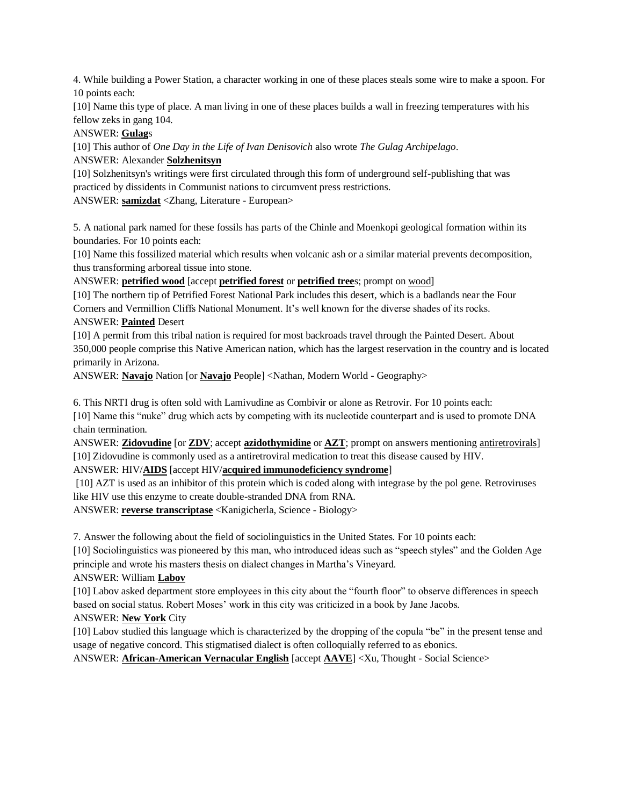4. While building a Power Station, a character working in one of these places steals some wire to make a spoon. For 10 points each:

[10] Name this type of place. A man living in one of these places builds a wall in freezing temperatures with his fellow zeks in gang 104.

#### ANSWER: **Gulag**s

[10] This author of *One Day in the Life of Ivan Denisovich* also wrote *The Gulag Archipelago*. ANSWER: Alexander **Solzhenitsyn**

[10] Solzhenitsyn's writings were first circulated through this form of underground self-publishing that was practiced by dissidents in Communist nations to circumvent press restrictions.

ANSWER: **samizdat** <Zhang, Literature - European>

5. A national park named for these fossils has parts of the Chinle and Moenkopi geological formation within its boundaries. For 10 points each:

[10] Name this fossilized material which results when volcanic ash or a similar material prevents decomposition, thus transforming arboreal tissue into stone.

ANSWER: **petrified wood** [accept **petrified forest** or **petrified tree**s; prompt on wood]

[10] The northern tip of Petrified Forest National Park includes this desert, which is a badlands near the Four Corners and Vermillion Cliffs National Monument. It's well known for the diverse shades of its rocks. ANSWER: **Painted** Desert

[10] A permit from this tribal nation is required for most backroads travel through the Painted Desert. About 350,000 people comprise this Native American nation, which has the largest reservation in the country and is located primarily in Arizona.

ANSWER: **Navajo** Nation [or **Navajo** People] <Nathan, Modern World - Geography>

6. This NRTI drug is often sold with Lamivudine as Combivir or alone as Retrovir. For 10 points each:

[10] Name this "nuke" drug which acts by competing with its nucleotide counterpart and is used to promote DNA chain termination.

ANSWER: **Zidovudine** [or **ZDV**; accept **azidothymidine** or **AZT**; prompt on answers mentioning antiretrovirals] [10] Zidovudine is commonly used as a antiretroviral medication to treat this disease caused by HIV.

# ANSWER: HIV/**AIDS** [accept HIV/**acquired immunodeficiency syndrome**]

[10] AZT is used as an inhibitor of this protein which is coded along with integrase by the pol gene. Retroviruses like HIV use this enzyme to create double-stranded DNA from RNA.

ANSWER: **reverse transcriptase** <Kanigicherla, Science - Biology>

7. Answer the following about the field of sociolinguistics in the United States. For 10 points each:

[10] Sociolinguistics was pioneered by this man, who introduced ideas such as "speech styles" and the Golden Age principle and wrote his masters thesis on dialect changes in Martha's Vineyard.

# ANSWER: William **Labov**

[10] Labov asked department store employees in this city about the "fourth floor" to observe differences in speech based on social status. Robert Moses' work in this city was criticized in a book by Jane Jacobs.

# ANSWER: **New York** City

[10] Labov studied this language which is characterized by the dropping of the copula "be" in the present tense and usage of negative concord. This stigmatised dialect is often colloquially referred to as ebonics.

ANSWER: **African-American Vernacular English** [accept **AAVE**] <Xu, Thought - Social Science>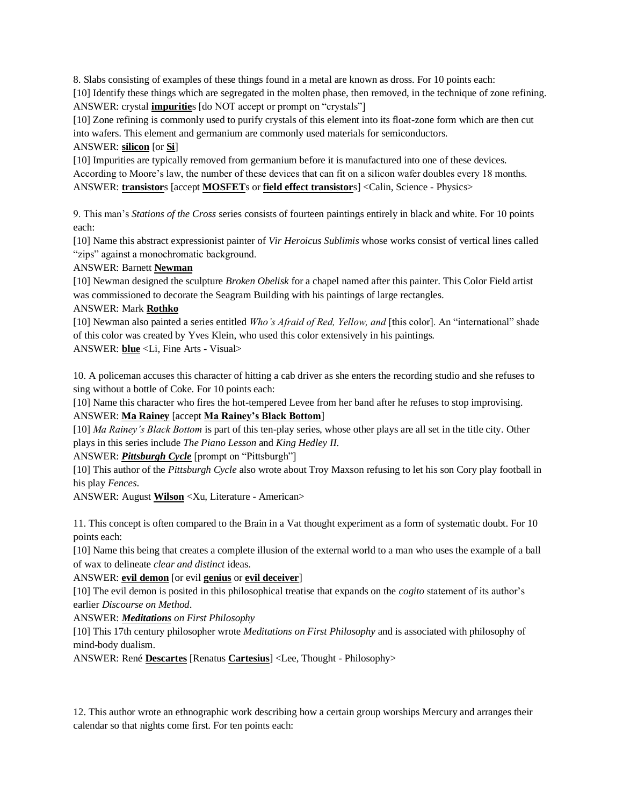8. Slabs consisting of examples of these things found in a metal are known as dross. For 10 points each: [10] Identify these things which are segregated in the molten phase, then removed, in the technique of zone refining. ANSWER: crystal **impuritie**s [do NOT accept or prompt on "crystals"]

[10] Zone refining is commonly used to purify crystals of this element into its float-zone form which are then cut into wafers. This element and germanium are commonly used materials for semiconductors.

### ANSWER: **silicon** [or **Si**]

[10] Impurities are typically removed from germanium before it is manufactured into one of these devices. According to Moore's law, the number of these devices that can fit on a silicon wafer doubles every 18 months. ANSWER: **transistor**s [accept **MOSFET**s or **field effect transistor**s] <Calin, Science - Physics>

9. This man's *Stations of the Cross* series consists of fourteen paintings entirely in black and white. For 10 points each:

[10] Name this abstract expressionist painter of *Vir Heroicus Sublimis* whose works consist of vertical lines called "zips" against a monochromatic background.

ANSWER: Barnett **Newman**

[10] Newman designed the sculpture *Broken Obelisk* for a chapel named after this painter. This Color Field artist was commissioned to decorate the Seagram Building with his paintings of large rectangles.

# ANSWER: Mark **Rothko**

[10] Newman also painted a series entitled *Who's Afraid of Red, Yellow, and* [this color]. An "international" shade of this color was created by Yves Klein, who used this color extensively in his paintings. ANSWER: **blue** <Li, Fine Arts - Visual>

10. A policeman accuses this character of hitting a cab driver as she enters the recording studio and she refuses to sing without a bottle of Coke. For 10 points each:

[10] Name this character who fires the hot-tempered Levee from her band after he refuses to stop improvising. ANSWER: **Ma Rainey** [accept **Ma Rainey's Black Bottom**]

[10] *Ma Rainey's Black Bottom* is part of this ten-play series, whose other plays are all set in the title city. Other plays in this series include *The Piano Lesson* and *King Hedley II*.

ANSWER: *Pittsburgh Cycle* [prompt on "Pittsburgh"]

[10] This author of the *Pittsburgh Cycle* also wrote about Troy Maxson refusing to let his son Cory play football in his play *Fences*.

ANSWER: August **Wilson** <Xu, Literature - American>

11. This concept is often compared to the Brain in a Vat thought experiment as a form of systematic doubt. For 10 points each:

[10] Name this being that creates a complete illusion of the external world to a man who uses the example of a ball of wax to delineate *clear and distinct* ideas.

ANSWER: **evil demon** [or evil **genius** or **evil deceiver**]

[10] The evil demon is posited in this philosophical treatise that expands on the *cogito* statement of its author's earlier *Discourse on Method*.

ANSWER: *Meditations on First Philosophy*

[10] This 17th century philosopher wrote *Meditations on First Philosophy* and is associated with philosophy of mind-body dualism.

ANSWER: René **Descartes** [Renatus **Cartesius**] <Lee, Thought - Philosophy>

12. This author wrote an ethnographic work describing how a certain group worships Mercury and arranges their calendar so that nights come first. For ten points each: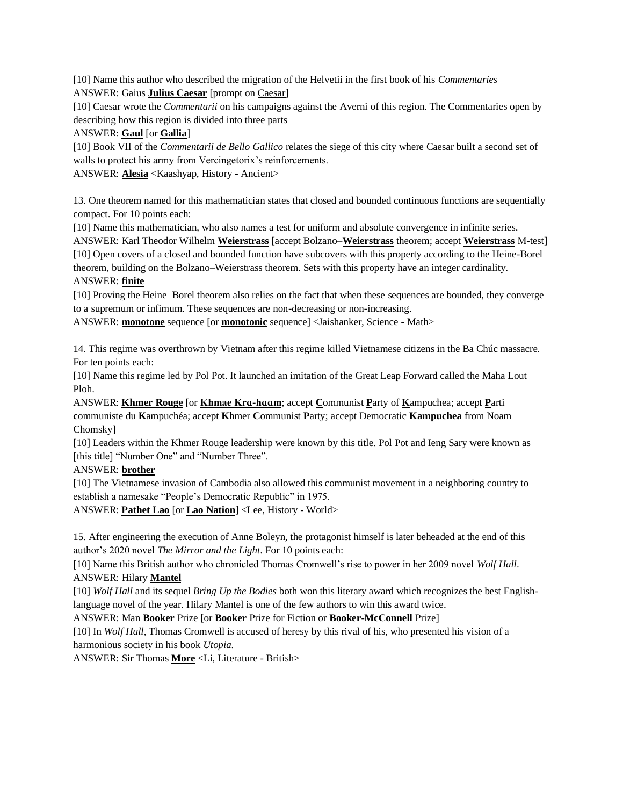[10] Name this author who described the migration of the Helvetii in the first book of his *Commentaries* ANSWER: Gaius **Julius Caesar** [prompt on Caesar]

[10] Caesar wrote the *Commentarii* on his campaigns against the Averni of this region. The Commentaries open by describing how this region is divided into three parts

ANSWER: **Gaul** [or **Gallia**]

[10] Book VII of the *Commentarii de Bello Gallico* relates the siege of this city where Caesar built a second set of walls to protect his army from Vercingetorix's reinforcements.

ANSWER: **Alesia** <Kaashyap, History - Ancient>

13. One theorem named for this mathematician states that closed and bounded continuous functions are sequentially compact. For 10 points each:

[10] Name this mathematician, who also names a test for uniform and absolute convergence in infinite series.

ANSWER: Karl Theodor Wilhelm **Weierstrass** [accept Bolzano–**Weierstrass** theorem; accept **Weierstrass** M-test] [10] Open covers of a closed and bounded function have subcovers with this property according to the Heine-Borel theorem, building on the Bolzano–Weierstrass theorem. Sets with this property have an integer cardinality. ANSWER: **finite**

[10] Proving the Heine–Borel theorem also relies on the fact that when these sequences are bounded, they converge to a supremum or infimum. These sequences are non-decreasing or non-increasing.

ANSWER: **monotone** sequence [or **monotonic** sequence] <Jaishanker, Science - Math>

14. This regime was overthrown by Vietnam after this regime killed Vietnamese citizens in the Ba Chúc massacre. For ten points each:

[10] Name this regime led by Pol Pot. It launched an imitation of the Great Leap Forward called the Maha Lout Ploh.

ANSWER: **Khmer Rouge** [or **Khmae Krɑ-hɑɑm**; accept **C**ommunist **P**arty of **K**ampuchea; accept **P**arti **c**ommuniste du **K**ampuchéa; accept **K**hmer **C**ommunist **P**arty; accept Democratic **Kampuchea** from Noam Chomsky]

[10] Leaders within the Khmer Rouge leadership were known by this title. Pol Pot and Ieng Sary were known as [this title] "Number One" and "Number Three".

# ANSWER: **brother**

[10] The Vietnamese invasion of Cambodia also allowed this communist movement in a neighboring country to establish a namesake "People's Democratic Republic" in 1975.

ANSWER: **Pathet Lao** [or **Lao Nation**] <Lee, History - World>

15. After engineering the execution of Anne Boleyn, the protagonist himself is later beheaded at the end of this author's 2020 novel *The Mirror and the Light*. For 10 points each:

[10] Name this British author who chronicled Thomas Cromwell's rise to power in her 2009 novel *Wolf Hall*. ANSWER: Hilary **Mantel**

[10] *Wolf Hall* and its sequel *Bring Up the Bodies* both won this literary award which recognizes the best Englishlanguage novel of the year. Hilary Mantel is one of the few authors to win this award twice.

ANSWER: Man **Booker** Prize [or **Booker** Prize for Fiction or **Booker-McConnell** Prize]

[10] In *Wolf Hall*, Thomas Cromwell is accused of heresy by this rival of his, who presented his vision of a harmonious society in his book *Utopia*.

ANSWER: Sir Thomas **More** <Li, Literature - British>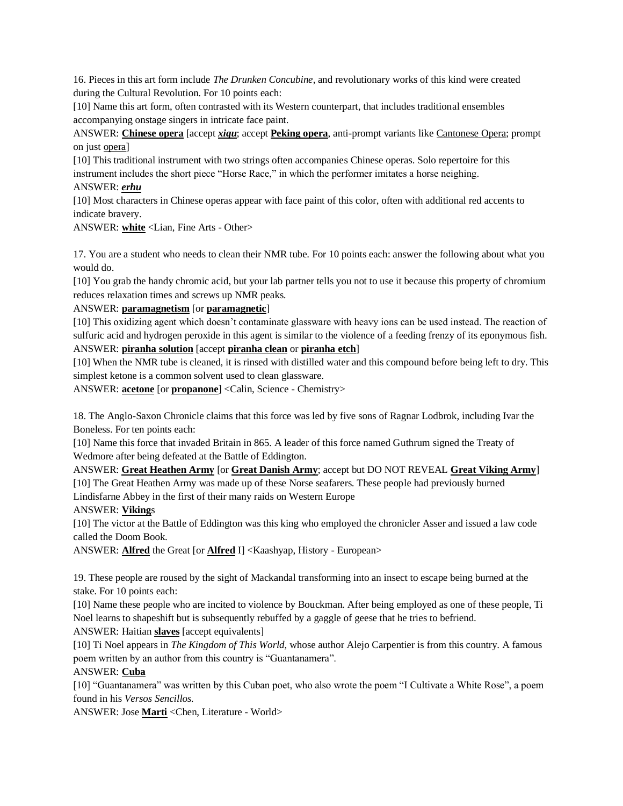16. Pieces in this art form include *The Drunken Concubine*, and revolutionary works of this kind were created during the Cultural Revolution. For 10 points each:

[10] Name this art form, often contrasted with its Western counterpart, that includes traditional ensembles accompanying onstage singers in intricate face paint.

ANSWER: **Chinese opera** [accept *xiqu*; accept **Peking opera**, anti-prompt variants like Cantonese Opera; prompt on just opera]

[10] This traditional instrument with two strings often accompanies Chinese operas. Solo repertoire for this instrument includes the short piece "Horse Race," in which the performer imitates a horse neighing.

#### ANSWER: *erhu*

[10] Most characters in Chinese operas appear with face paint of this color, often with additional red accents to indicate bravery.

ANSWER: **white** <Lian, Fine Arts - Other>

17. You are a student who needs to clean their NMR tube. For 10 points each: answer the following about what you would do.

[10] You grab the handy chromic acid, but your lab partner tells you not to use it because this property of chromium reduces relaxation times and screws up NMR peaks.

#### ANSWER: **paramagnetism** [or **paramagnetic**]

[10] This oxidizing agent which doesn't contaminate glassware with heavy ions can be used instead. The reaction of sulfuric acid and hydrogen peroxide in this agent is similar to the violence of a feeding frenzy of its eponymous fish. ANSWER: **piranha solution** [accept **piranha clean** or **piranha etch**]

[10] When the NMR tube is cleaned, it is rinsed with distilled water and this compound before being left to dry. This simplest ketone is a common solvent used to clean glassware.

ANSWER: **acetone** [or **propanone**] <Calin, Science - Chemistry>

18. The Anglo-Saxon Chronicle claims that this force was led by five sons of Ragnar Lodbrok, including Ivar the Boneless. For ten points each:

[10] Name this force that invaded Britain in 865. A leader of this force named Guthrum signed the Treaty of Wedmore after being defeated at the Battle of Eddington.

ANSWER: **Great Heathen Army** [or **Great Danish Army**; accept but DO NOT REVEAL **Great Viking Army**]

[10] The Great Heathen Army was made up of these Norse seafarers. These people had previously burned Lindisfarne Abbey in the first of their many raids on Western Europe

#### ANSWER: **Viking**s

[10] The victor at the Battle of Eddington was this king who employed the chronicler Asser and issued a law code called the Doom Book.

ANSWER: **Alfred** the Great [or **Alfred** I] <Kaashyap, History - European>

19. These people are roused by the sight of Mackandal transforming into an insect to escape being burned at the stake. For 10 points each:

[10] Name these people who are incited to violence by Bouckman. After being employed as one of these people, Ti Noel learns to shapeshift but is subsequently rebuffed by a gaggle of geese that he tries to befriend.

ANSWER: Haitian **slaves** [accept equivalents]

[10] Ti Noel appears in *The Kingdom of This World,* whose author Alejo Carpentier is from this country. A famous poem written by an author from this country is "Guantanamera".

# ANSWER: **Cuba**

[10] "Guantanamera" was written by this Cuban poet, who also wrote the poem "I Cultivate a White Rose", a poem found in his *Versos Sencillos.* 

ANSWER: Jose **Marti** <Chen, Literature - World>